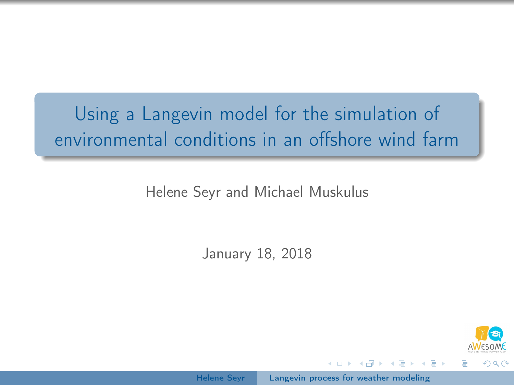# <span id="page-0-0"></span>Using a Langevin model for the simulation of environmental conditions in an offshore wind farm

Helene Seyr and Michael Muskulus

January 18, 2018



医骨盆 医骨盆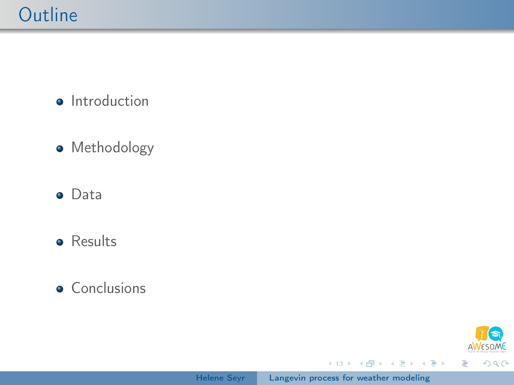**·** Introduction

- Methodology
- **o** Data
- **•** Results

#### **•** Conclusions



Ε

イロメ イ部メ イミメ イモメ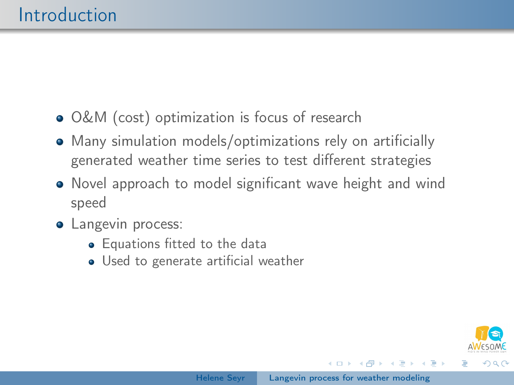- O&M (cost) optimization is focus of research
- Many simulation models/optimizations rely on artificially generated weather time series to test different strategies
- Novel approach to model significant wave height and wind speed
- Langevin process:
	- **•** Equations fitted to the data
	- Used to generate artificial weather



 $\overline{AB}$   $\rightarrow$   $\overline{AB}$   $\rightarrow$   $\overline{AB}$   $\rightarrow$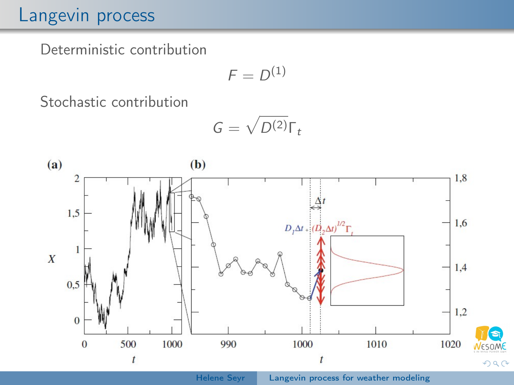# Langevin process

Deterministic contribution

$$
F=D^{(1)}
$$

Stochastic contribution

$$
G=\sqrt{D^{(2)}}\Gamma_t
$$



Helene Seyr | [Langevin process for weather modeling](#page-0-0)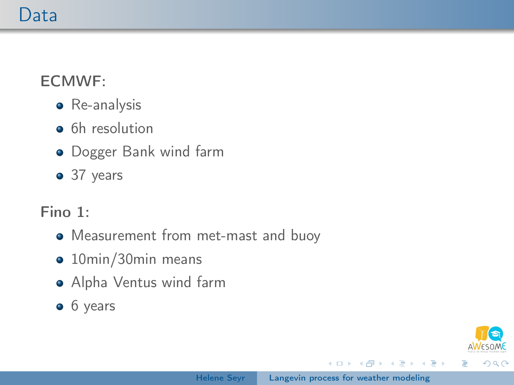## Data

#### ECMWF:

- **•** Re-analysis
- **•** 6h resolution
- **•** Dogger Bank wind farm
- 37 years

#### Fino 1:

- Measurement from met-mast and buoy
- 10min/30min means
- Alpha Ventus wind farm
- 6 years

イロメ イ母メ イヨメ イヨメ

 $QQ$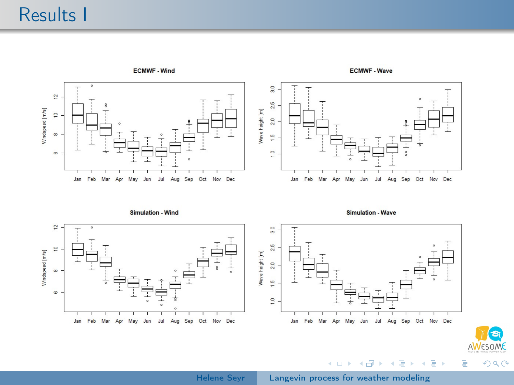# Results I



Helene Seyr | [Langevin process for weather modeling](#page-0-0)

G **ESOME** 

つくへ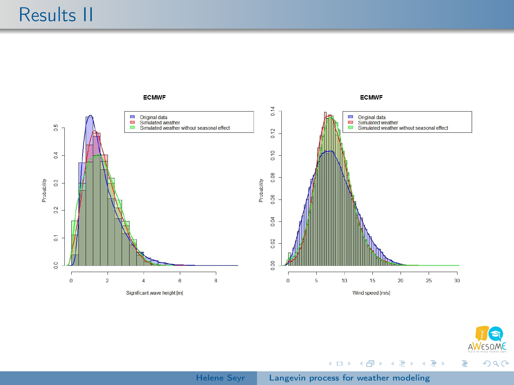



 $290$ 

Ε

メロメ メタメ メミメ メミメ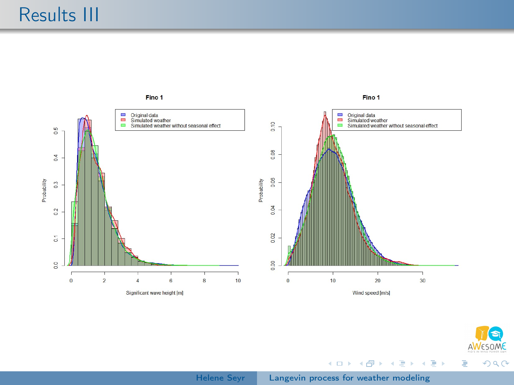



 $290$ 

Ε

メロメ メタメ メミメ メミメ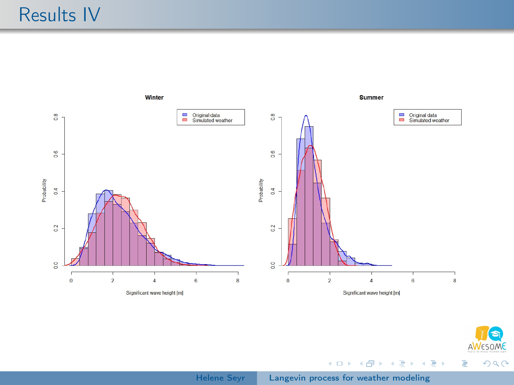



э

 $290$ 

メロメ メタメ メミメ メミメ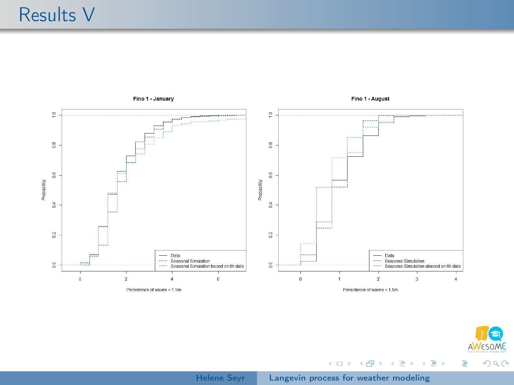

Fino 1 - August

メロメ メタメ メミメ メミメー



 $299$ 

Ε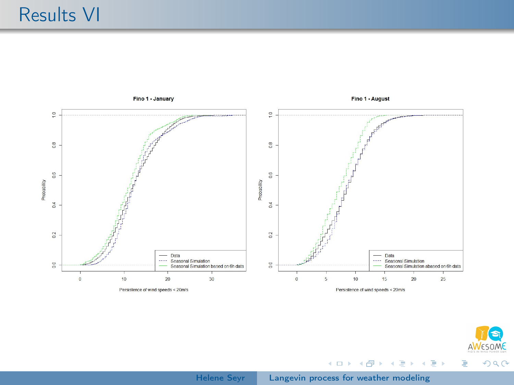



目

メロメ メ都 メメ きょくきょ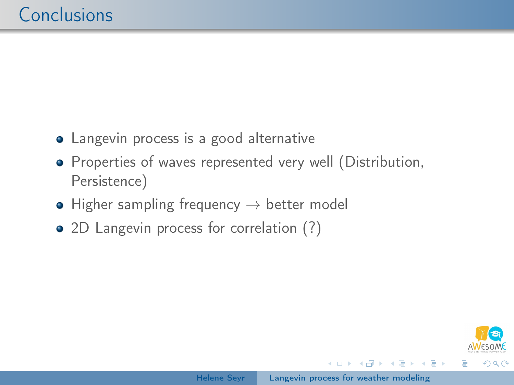- Langevin process is a good alternative
- Properties of waves represented very well (Distribution, Persistence)
- $\bullet$  Higher sampling frequency  $\rightarrow$  better model
- 2D Langevin process for correlation (?)

母 トマミト マミト